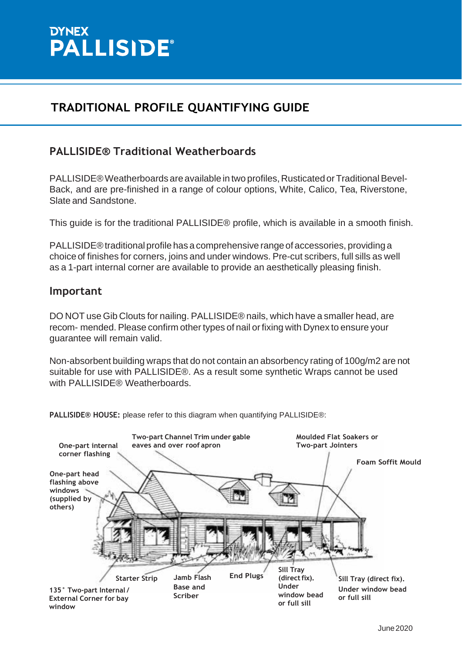

#### **PALLISIDE® Traditional Weatherboards**

PALLISIDE® Weatherboards are available in two profiles, Rusticated or Traditional Bevel-Back, and are pre-finished in a range of colour options, White, Calico, Tea, Riverstone, Slate and Sandstone.

This guide is for the traditional PALLISIDE® profile, which is available in a smooth finish.

PALLISIDE® traditional profile has a comprehensive range of accessories, providing a choice of finishes for corners, joins and under windows. Pre-cut scribers, full sills as well as a 1-part internal corner are available to provide an aesthetically pleasing finish.

#### **Important**

DO NOT use Gib Clouts for nailing. PALLISIDE® nails, which have a smaller head, are recom- mended. Please confirm other types of nail orfixing with Dynex to ensure your guarantee will remain valid.

Non-absorbent building wraps that do not contain an absorbency rating of 100g/m2 are not suitable for use with PALLISIDE®. As a result some synthetic Wraps cannot be used with PALLISIDE® Weatherboards.

**PALLISIDE® HOUSE:** please refer to this diagram when quantifying PALLISIDE®:

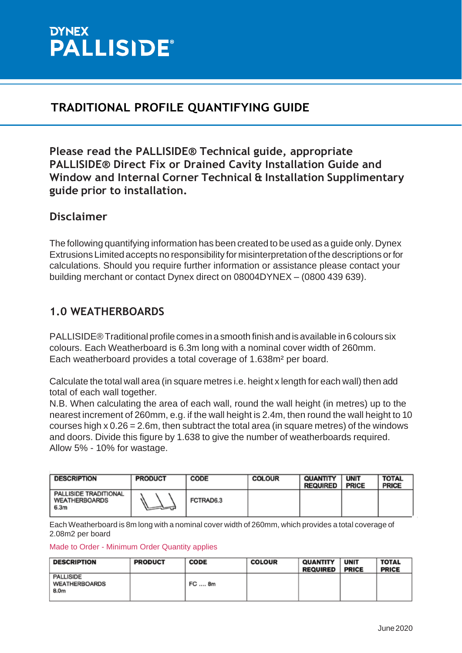

**Please read the PALLISIDE® Technical guide, appropriate PALLISIDE® Direct Fix or Drained Cavity Installation Guide and Window and Internal Corner Technical & Installation Supplimentary guide prior to installation.**

#### **Disclaimer**

The following quantifying information has been created to be used as a guide only.Dynex Extrusions Limited accepts no responsibility for misinterpretation of the descriptions orfor calculations. Should you require further information or assistance please contact your building merchant or contact Dynex direct on 08004DYNEX – (0800 439 639).

#### **1.0 WEATHERBOARDS**

PALLISIDE® Traditional profile comes in a smooth finish and is available in 6 colours six colours. Each Weatherboard is 6.3m long with a nominal cover width of 260mm. Each weatherboard provides a total coverage of 1.638m² per board.

Calculate the total wall area (in square metres i.e. height x length for each wall) then add total of each wall together.

N.B. When calculating the area of each wall, round the wall height (in metres) up to the nearest increment of 260mm, e.g. if the wall height is 2.4m, then round the wall height to 10 courses high  $x$  0.26 = 2.6m, then subtract the total area (in square metres) of the windows and doors. Divide this figure by 1.638 to give the number of weatherboards required. Allow 5% - 10% for wastage.

| <b>DESCRIPTION</b>                                    | <b>PRODUCT</b> | CODE      | <b>COLOUR</b> | QUANTITY<br><b>REQUIRED</b> | <b>UNIT</b><br><b>PRICE</b> | <b>TOTAL</b><br><b>PRICE</b> |
|-------------------------------------------------------|----------------|-----------|---------------|-----------------------------|-----------------------------|------------------------------|
| PALLISIDE TRADITIONAL<br><b>WEATHERBOARDS</b><br>6.3m | ৲≕ন            | FCTRAD6.3 |               |                             |                             |                              |

Each Weatherboard is 8m long with a nominal cover width of 260mm, which provides a total coverage of 2.08m2 per board

#### Made to Order - Minimum Order Quantity applies

| <b>DESCRIPTION</b>                        | <b>PRODUCT</b> | <b>CODE</b> | <b>COLOUR</b> | <b>QUANTITY</b><br>REQUIRED | <b>UNIT</b><br><b>PRICE</b> | <b>TOTAL</b><br><b>PRICE</b> |
|-------------------------------------------|----------------|-------------|---------------|-----------------------------|-----------------------------|------------------------------|
| <b>PALLISIDE</b><br>WEATHERBOARDS<br>8.0m |                | FC  8m      |               |                             |                             |                              |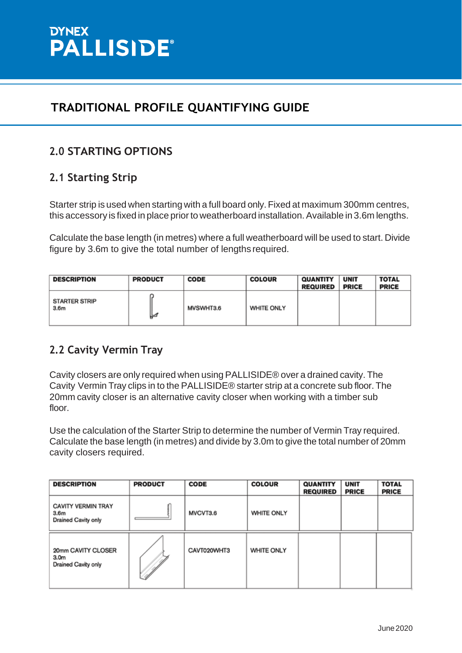

## **2.0 STARTING OPTIONS**

## **2.1 Starting Strip**

Starter strip is used when starting with a full board only.Fixed at maximum 300mm centres, this accessory is fixed in place prior to weatherboard installation. Available in 3.6m lengths.

Calculate the base length (in metres) where a full weatherboard will be used to start. Divide figure by 3.6m to give the total number of lengths required.

| <b>DESCRIPTION</b>                       | <b>PRODUCT</b> | <b>CODE</b> | <b>COLOUR</b>     | <b>QUANTITY</b><br><b>REQUIRED</b> | <b>UNIT</b><br><b>PRICE</b> | <b>TOTAL</b><br><b>PRICE</b> |
|------------------------------------------|----------------|-------------|-------------------|------------------------------------|-----------------------------|------------------------------|
| <b>STARTER STRIP</b><br>3.6 <sub>m</sub> | ⊬              | MVSWHT3.6   | <b>WHITE ONLY</b> |                                    |                             |                              |

## **2.2 Cavity Vermin Tray**

Cavity closers are only required when using PALLISIDE® over a drained cavity. The Cavity Vermin Tray clips in to the PALLISIDE® starter strip at a concrete sub floor. The 20mm cavity closer is an alternative cavity closer when working with a timber sub floor.

Use the calculation of the Starter Strip to determine the number of Vermin Tray required. Calculate the base length (in metres) and divide by 3.0m to give the total number of 20mm cavity closers required.

| <b>DESCRIPTION</b>                                                          | <b>PRODUCT</b> | <b>CODE</b> | <b>COLOUR</b>     | <b>QUANTITY</b><br><b>REQUIRED</b> | <b>UNIT</b><br><b>PRICE</b> | <b>TOTAL</b><br><b>PRICE</b> |
|-----------------------------------------------------------------------------|----------------|-------------|-------------------|------------------------------------|-----------------------------|------------------------------|
| <b>CAVITY VERMIN TRAY</b><br>3.6 <sub>m</sub><br><b>Drained Cavity only</b> |                | MVCVT3.6    | <b>WHITE ONLY</b> |                                    |                             |                              |
| 20mm CAVITY CLOSER<br>3.0 <sub>m</sub><br>Drained Cavity only               |                | CAVT020WHT3 | WHITE ONLY        |                                    |                             |                              |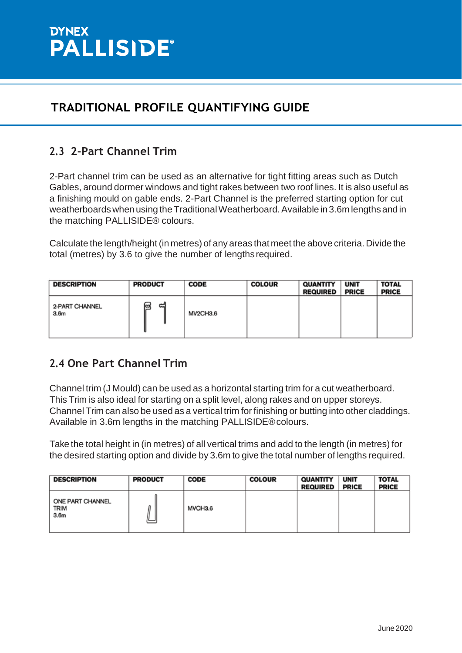

## **2.3 2-Part Channel Trim**

2-Part channel trim can be used as an alternative for tight fitting areas such as Dutch Gables, around dormer windows and tight rakes between two roof lines. It is also useful as a finishing mould on gable ends. 2-Part Channel is the preferred starting option for cut weatherboards when using the Traditional Weatherboard. Available in 3.6m lengths and in the matching PALLISIDE® colours.

Calculate the length/height(in metres) of any areas that meet the above criteria. Divide the total (metres) by 3.6 to give the number of lengthsrequired.

| <b>DESCRIPTION</b>                 | <b>PRODUCT</b> | <b>CODE</b> | <b>COLOUR</b> | <b>QUANTITY</b><br><b>REQUIRED</b> | <b>UNIT</b><br><b>PRICE</b> | <b>TOTAL</b><br><b>PRICE</b> |
|------------------------------------|----------------|-------------|---------------|------------------------------------|-----------------------------|------------------------------|
| 2-PART CHANNEL<br>3.6 <sub>m</sub> | ದ<br>@         | MV2CH3.6    |               |                                    |                             |                              |

#### **2.4 One Part Channel Trim**

Channel trim (J Mould) can be used as a horizontal starting trim for a cut weatherboard. This Trim is also ideal for starting on a split level, along rakes and on upper storeys. Channel Trim can also be used as a vertical trim for finishing or butting into other claddings. Available in 3.6m lengths in the matching PALLISIDE®colours.

Take the total height in (in metres) of all vertical trims and add to the length (in metres) for the desired starting option and divide by 3.6m to give the total number of lengths required.

| <b>DESCRIPTION</b>                                  | <b>PRODUCT</b> | <b>CODE</b> | <b>COLOUR</b> | <b>QUANTITY</b><br><b>REQUIRED</b> | <b>UNIT</b><br><b>PRICE</b> | <b>TOTAL</b><br><b>PRICE</b> |
|-----------------------------------------------------|----------------|-------------|---------------|------------------------------------|-----------------------------|------------------------------|
| ONE PART CHANNEL<br><b>TRIM</b><br>3.6 <sub>m</sub> |                | MVCH3.6     |               |                                    |                             |                              |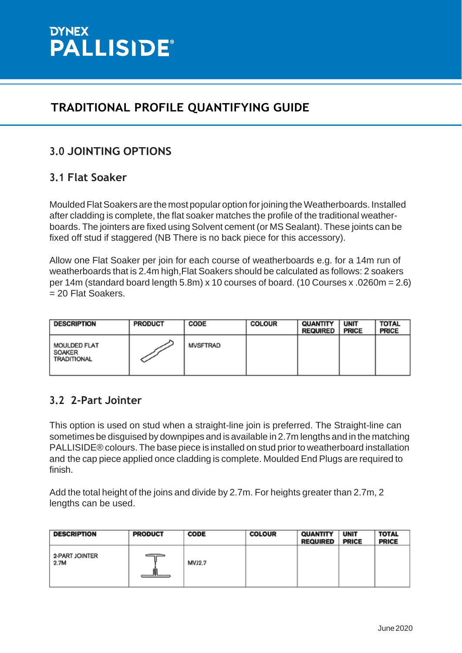

## **3.0 JOINTING OPTIONS**

#### **3.1 Flat Soaker**

Moulded Flat Soakers are the most popular option for joining the Weatherboards. Installed after cladding is complete, the flat soaker matches the profile of the traditional weatherboards. The jointers are fixed using Solvent cement (or MS Sealant). These joints can be fixed off stud if staggered (NB There is no back piece for this accessory).

Allow one Flat Soaker per join for each course of weatherboards e.g. for a 14m run of weatherboards that is 2.4m high,Flat Soakers should be calculated as follows: 2 soakers per 14m (standard board length 5.8m) x 10 courses of board. (10 Courses x .0260m = 2.6) = 20 Flat Soakers.

| <b>DESCRIPTION</b>                           | <b>PRODUCT</b> | CODE            | <b>COLOUR</b> | QUANTITY<br><b>REQUIRED</b> | <b>UNIT</b><br><b>PRICE</b> | <b>TOTAL</b><br><b>PRICE</b> |
|----------------------------------------------|----------------|-----------------|---------------|-----------------------------|-----------------------------|------------------------------|
| <b>MOULDED FLAT</b><br>SOAKER<br>TRADITIONAL |                | <b>MVSFTRAD</b> |               |                             |                             |                              |

#### **3.2 2-Part Jointer**

This option is used on stud when a straight-line join is preferred. The Straight-line can sometimes be disguised by downpipes and is available in 2.7m lengths and in the matching PALLISIDE® colours. The base piece is installed on stud prior to weatherboard installation and the cap piece applied once cladding is complete. Moulded End Plugs are required to finish.

Add the total height of the joins and divide by 2.7m. For heights greater than 2.7m, 2 lengths can be used.

| <b>DESCRIPTION</b>     | <b>PRODUCT</b> | <b>CODE</b>   | <b>COLOUR</b> | <b>QUANTITY</b><br><b>REQUIRED</b> | <b>UNIT</b><br><b>PRICE</b> | <b>TOTAL</b><br><b>PRICE</b> |
|------------------------|----------------|---------------|---------------|------------------------------------|-----------------------------|------------------------------|
| 2-PART JOINTER<br>2.7M |                | <b>MVJ2.7</b> |               |                                    |                             |                              |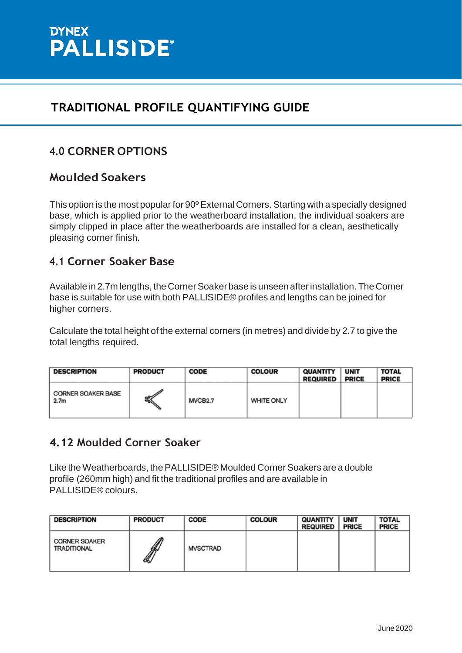

## **4.0 CORNER OPTIONS**

#### **Moulded Soakers**

This option is the most popular for 90° External Corners. Starting with a specially designed base, which is applied prior to the weatherboard installation, the individual soakers are simply clipped in place after the weatherboards are installed for a clean, aesthetically pleasing corner finish.

#### **4.1 Corner Soaker Base**

Available in 2.7m lengths, the Corner Soaker base is unseen after installation. The Corner base is suitable for use with both PALLISIDE® profiles and lengths can be joined for higher corners.

Calculate the total height of the external corners (in metres) and divide by 2.7 to give the total lengths required.

| <b>DESCRIPTION</b>                            | <b>PRODUCT</b> | <b>CODE</b>         | <b>COLOUR</b>     | <b>QUANTITY</b><br><b>REQUIRED</b> | <b>UNIT</b><br><b>PRICE</b> | <b>TOTAL</b><br><b>PRICE</b> |
|-----------------------------------------------|----------------|---------------------|-------------------|------------------------------------|-----------------------------|------------------------------|
| <b>CORNER SOAKER BASE</b><br>2.7 <sub>m</sub> | ಕ್ನ∕           | MVCB <sub>2.7</sub> | <b>WHITE ONLY</b> |                                    |                             |                              |

#### **4.12 Moulded Corner Soaker**

Like the Weatherboards, the PALLISIDE® Moulded Corner Soakers are a double profile (260mm high) and fit the traditional profiles and are available in PALLISIDE® colours.

| <b>DESCRIPTION</b>                         | <b>PRODUCT</b> | <b>CODE</b> | <b>COLOUR</b> | QUANTITY<br><b>REQUIRED</b> | <b>UNIT</b><br><b>PRICE</b> | <b>TOTAL</b><br><b>PRICE</b> |
|--------------------------------------------|----------------|-------------|---------------|-----------------------------|-----------------------------|------------------------------|
| <b>CORNER SOAKER</b><br><b>TRADITIONAL</b> | ∦<br>lS        | MVSCTRAD    |               |                             |                             |                              |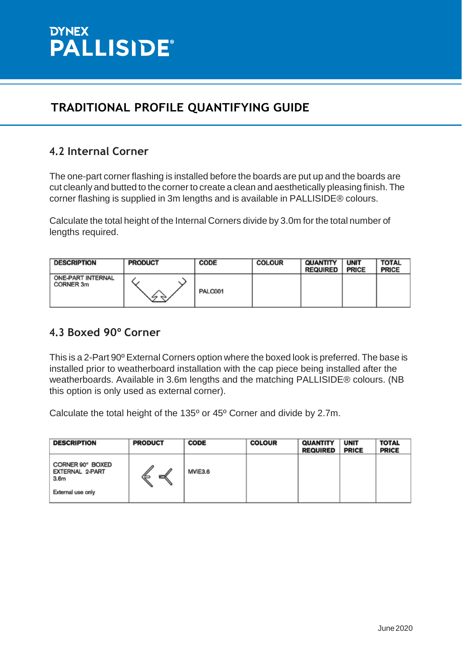

## **4.2 Internal Corner**

The one-part corner flashing is installed before the boards are put up and the boards are cut cleanly and butted to the corner to create a clean and aesthetically pleasing finish. The corner flashing is supplied in 3m lengths and is available in PALLISIDE® colours.

Calculate the total height of the Internal Corners divide by 3.0m for the total number of lengths required.

| <b>DESCRIPTION</b>             | <b>PRODUCT</b> | <b>CODE</b> | <b>COLOUR</b> | QUANTITY<br><b>REQUIRED</b> | <b>UNIT</b><br><b>PRICE</b> | <b>TOTAL</b><br><b>PRICE</b> |
|--------------------------------|----------------|-------------|---------------|-----------------------------|-----------------------------|------------------------------|
| ONE-PART INTERNAL<br>CORNER 3m | ∽<br>$\sim$    | PALC001     |               |                             |                             |                              |

#### **4.3 Boxed 90º Corner**

This is a 2-Part 90º External Corners option where the boxed look is preferred. The base is installed prior to weatherboard installation with the cap piece being installed after the weatherboards. Available in 3.6m lengths and the matching PALLISIDE® colours. (NB this option is only used as external corner).

Calculate the total height of the 135º or 45º Corner and divide by 2.7m.

| <b>DESCRIPTION</b>                                                           | <b>PRODUCT</b> | <b>CODE</b> | <b>COLOUR</b> | <b>QUANTITY</b><br><b>REQUIRED</b> | <b>UNIT</b><br><b>PRICE</b> | <b>TOTAL</b><br><b>PRICE</b> |
|------------------------------------------------------------------------------|----------------|-------------|---------------|------------------------------------|-----------------------------|------------------------------|
| CORNER 90° BOXED<br>EXTERNAL 2-PART<br>3.6 <sub>m</sub><br>External use only | ∥<br>B         | MVIE3.6     |               |                                    |                             |                              |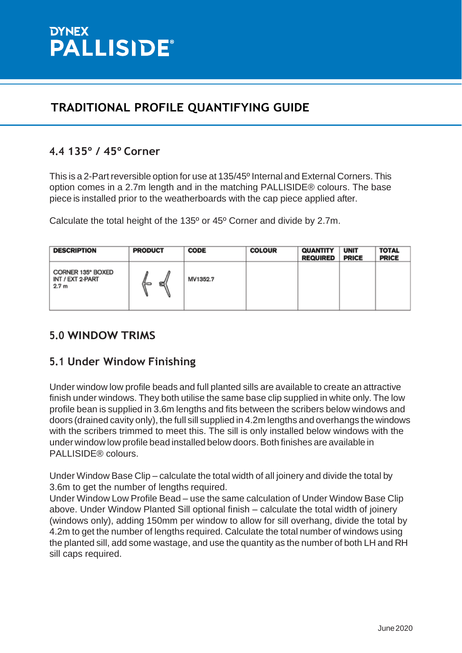

## **4.4 135º / 45º Corner**

This is a 2-Part reversible option for use at 135/45<sup>°</sup> Internal and External Corners. This option comes in a 2.7m length and in the matching PALLISIDE® colours. The base piece is installed prior to the weatherboards with the cap piece applied after.

Calculate the total height of the 135º or 45º Corner and divide by 2.7m.

| <b>DESCRIPTION</b>                                        | <b>PRODUCT</b> | <b>CODE</b> | <b>COLOUR</b> | <b>QUANTITY</b><br><b>REQUIRED</b> | <b>UNIT</b><br><b>PRICE</b> | <b>TOTAL</b><br><b>PRICE</b> |
|-----------------------------------------------------------|----------------|-------------|---------------|------------------------------------|-----------------------------|------------------------------|
| CORNER 135° BOXED<br>INT / EXT 2-PART<br>2.7 <sub>m</sub> | ದ              | MV1352.7    |               |                                    |                             |                              |

#### **5.0 WINDOW TRIMS**

#### **5.1 Under Window Finishing**

Under window low profile beads and full planted sills are available to create an attractive finish under windows. They both utilise the same base clip supplied in white only. The low profile bean is supplied in 3.6m lengths and fits between the scribers below windows and doors (drained cavity only), the full sill supplied in 4.2m lengths and overhangs the windows with the scribers trimmed to meet this. The sill is only installed below windows with the under window low profile bead installed below doors.Both finishes are available in PALLISIDE® colours.

Under Window Base Clip – calculate the total width of all joinery and divide the total by 3.6m to get the number of lengths required.

Under Window Low Profile Bead – use the same calculation of Under Window Base Clip above. Under Window Planted Sill optional finish – calculate the total width of joinery (windows only), adding 150mm per window to allow for sill overhang, divide the total by 4.2m to get the number of lengths required. Calculate the total number of windows using the planted sill, add some wastage, and use the quantity as the number of both LH and RH sill caps required.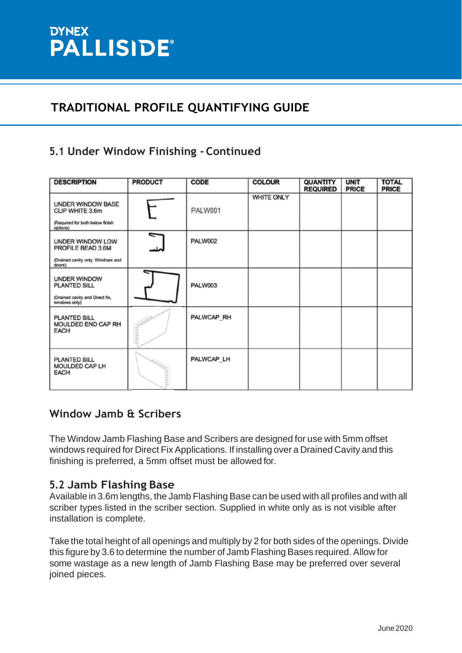# DYNEX<br>PALLISIDE®

# **TRADITIONAL PROFILE QUANTIFYING GUIDE**

## **5.1 Under Window Finishing - Continued**

| <b>DESCRIPTION</b>                                                                  | <b>PRODUCT</b>           | <b>CODE</b> | <b>COLOUR</b> | QUANTITY<br><b>REQUIRED</b> | <b>UNIT</b><br><b>PRICE</b> | <b>TOTAL</b><br><b>PRICE</b> |
|-------------------------------------------------------------------------------------|--------------------------|-------------|---------------|-----------------------------|-----------------------------|------------------------------|
| UNDER WINDOW BASE<br>CLIP WHITE 3.6m<br>(Required for both below finish<br>options) |                          | PALW001     | WHITE ONLY    |                             |                             |                              |
| UNDER WINDOW LOW<br>PROFILE BEAD 3.6M                                               | $\overline{\phantom{0}}$ | PALW002     |               |                             |                             |                              |
| (Drained cavity only. Windows and<br>doors)                                         |                          |             |               |                             |                             |                              |
| <b>UNDER WINDOW</b><br>PLANTED SILL<br>(Drained cavity and Direct for               |                          | PALW003     |               |                             |                             |                              |
| windows only)<br><b>PLANTED SILL</b><br>MOULDED END CAP RH<br>EACH                  |                          | PALWCAP RH  |               |                             |                             |                              |
| <b>PLANTED SILL</b><br>MOULDED CAP LH<br>EACH                                       | Radia y                  | PALWCAP LH  |               |                             |                             |                              |

#### **Window Jamb & Scribers**

The Window Jamb Flashing Base and Scribers are designed for use with 5mm offset windows required for Direct Fix Applications. If installing over a Drained Cavity and this finishing is preferred, a 5mm offset must be allowed for.

#### **5.2 Jamb Flashing Base**

Available in 3.6m lengths, the Jamb Flashing Base can be used with all profiles and with all scriber types listed in the scriber section. Supplied in white only as is not visible after installation is complete.

Take the total height of all openings and multiply by 2 for both sides of the openings. Divide this figure by 3.6 to determine the number of Jamb Flashing Bases required. Allow for some wastage as a new length of Jamb Flashing Base may be preferred over several joined pieces.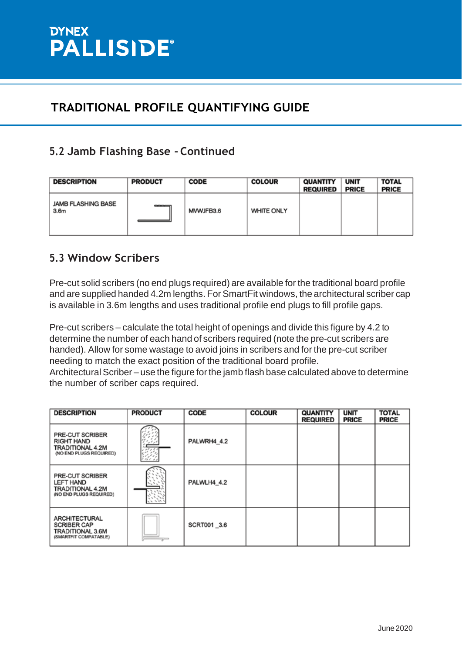## **5.2 Jamb Flashing Base - Continued**

| <b>DESCRIPTION</b>                            | <b>PRODUCT</b> | <b>CODE</b> | <b>COLOUR</b>     | <b>QUANTITY</b><br><b>REQUIRED</b> | <b>UNIT</b><br><b>PRICE</b> | <b>TOTAL</b><br><b>PRICE</b> |
|-----------------------------------------------|----------------|-------------|-------------------|------------------------------------|-----------------------------|------------------------------|
| <b>JAMB FLASHING BASE</b><br>3.6 <sub>m</sub> | <b>COOL</b>    | MVWJFB3.6   | <b>WHITE ONLY</b> |                                    |                             |                              |

## **5.3 Window Scribers**

Pre-cut solid scribers (no end plugs required) are available for the traditional board profile and are supplied handed 4.2m lengths. For SmartFit windows, the architectural scriber cap is available in 3.6m lengths and uses traditional profile end plugs to fill profile gaps.

Pre-cut scribers – calculate the total height of openings and divide this figure by 4.2 to determine the number of each hand of scribers required (note the pre-cut scribers are handed). Allow for some wastage to avoid joins in scribers and for the pre-cut scriber needing to match the exact position of the traditional board profile.

Architectural Scriber – use the figure for the jamb flash base calculated above to determine the number of scriber caps required.

| <b>DESCRIPTION</b>                                                                        | <b>PRODUCT</b> | <b>CODE</b> | <b>COLOUR</b> | QUANTITY<br><b>REQUIRED</b> | <b>UNIT</b><br><b>PRICE</b> | <b>TOTAL</b><br><b>PRICE</b> |
|-------------------------------------------------------------------------------------------|----------------|-------------|---------------|-----------------------------|-----------------------------|------------------------------|
| PRE-CUT SCRIBER<br>RIGHT HAND<br>TRADITIONAL 4.2M<br>(NO END PLUGS REQUIRED)              |                | PALWRH4 4.2 |               |                             |                             |                              |
| PRE-CUT SCRIBER<br><b>LEFT HAND</b><br><b>TRADITIONAL 4.2M</b><br>(NO END PLUGS REQUIRED) |                | PALWLH4 4.2 |               |                             |                             |                              |
| <b>ARCHITECTURAL</b><br><b>SCRIBER CAP</b><br>TRADITIONAL 3.6M<br>(SMARTFIT COMPATABLE)   | $\sim$         | SCRT001_3.6 |               |                             |                             |                              |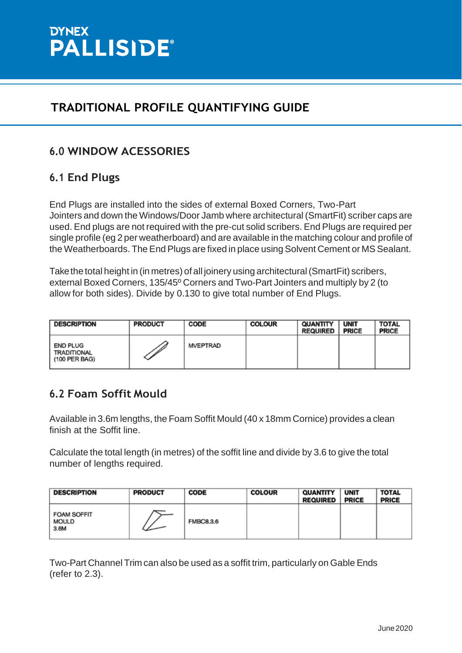

## **6.0 WINDOW ACESSORIES**

#### **6.1 End Plugs**

End Plugs are installed into the sides of external Boxed Corners, Two-Part Jointers and down the Windows/Door Jamb where architectural (SmartFit) scriber caps are used. End plugs are not required with the pre-cut solid scribers. End Plugs are required per single profile (eg 2 per weatherboard) and are available in the matching colour and profile of the Weatherboards. The End Plugs are fixed in place using Solvent Cement or MS Sealant.

Takethe total height in (in metres) of all joinery using architectural(SmartFit) scribers, external Boxed Corners, 135/45º Corners and Two-Part Jointers and multiply by 2 (to allow for both sides). Divide by 0.130 to give total number of End Plugs.

| <b>DESCRIPTION</b>                              | <b>PRODUCT</b> | CODE     | <b>COLOUR</b> | QUANTITY<br><b>REQUIRED</b> | <b>UNIT</b><br><b>PRICE</b> | <b>TOTAL</b><br><b>PRICE</b> |
|-------------------------------------------------|----------------|----------|---------------|-----------------------------|-----------------------------|------------------------------|
| <b>END PLUG</b><br>TRADITIONAL<br>(100 PER BAG) |                | MVEPTRAD |               |                             |                             |                              |

## **6.2 Foam Soffit Mould**

Available in 3.6m lengths, the Foam Soffit Mould (40 x 18mm Cornice) provides a clean finish at the Soffit line.

Calculate the total length (in metres) of the soffit line and divide by 3.6 to give the total number of lengths required.

| <b>DESCRIPTION</b>                         | <b>PRODUCT</b> | <b>CODE</b>      | <b>COLOUR</b> | <b>QUANTITY</b><br><b>REQUIRED</b> | <b>UNIT</b><br><b>PRICE</b> | <b>TOTAL</b><br><b>PRICE</b> |
|--------------------------------------------|----------------|------------------|---------------|------------------------------------|-----------------------------|------------------------------|
| <b>FOAM SOFFIT</b><br><b>MOULD</b><br>3.6M |                | <b>FMBC8.3.6</b> |               |                                    |                             |                              |

Two-Part Channel Trim can also be used as a soffit trim, particularly on Gable Ends (refer to 2.3).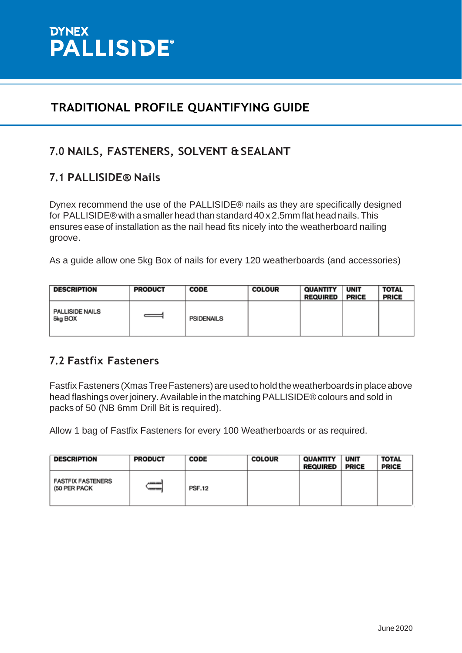

## **7.0 NAILS, FASTENERS, SOLVENT &SEALANT**

## **7.1 PALLISIDE® Nails**

Dynex recommend the use of the PALLISIDE® nails as they are specifically designed for PALLISIDE® with a smaller head than standard 40 x 2.5mm flat head nails. This ensures ease of installation as the nail head fits nicely into the weatherboard nailing groove.

As a guide allow one 5kg Box of nails for every 120 weatherboards (and accessories)

| <b>DESCRIPTION</b>                | <b>PRODUCT</b> | <b>CODE</b>       | <b>COLOUR</b> | <b>QUANTITY</b><br><b>REQUIRED</b> | <b>UNIT</b><br><b>PRICE</b> | <b>TOTAL</b><br><b>PRICE</b> |
|-----------------------------------|----------------|-------------------|---------------|------------------------------------|-----------------------------|------------------------------|
| <b>PALLISIDE NAILS</b><br>5kg BOX |                | <b>PSIDENAILS</b> |               |                                    |                             |                              |

#### **7.2 Fastfix Fasteners**

Fastfix Fasteners (Xmas Tree Fasteners) are used to hold the weatherboards in place above head flashings over joinery. Available in the matching PALLISIDE® colours and sold in packs of 50 (NB 6mm Drill Bit is required).

Allow 1 bag of Fastfix Fasteners for every 100 Weatherboards or as required.

| <b>DESCRIPTION</b>                       | <b>PRODUCT</b> | <b>CODE</b>   | <b>COLOUR</b> | <b>QUANTITY</b><br><b>REQUIRED</b> | <b>UNIT</b><br><b>PRICE</b> | <b>TOTAL</b><br><b>PRICE</b> |
|------------------------------------------|----------------|---------------|---------------|------------------------------------|-----------------------------|------------------------------|
| <b>FASTFIX FASTENERS</b><br>(50 PER PACK | --             | <b>PSF.12</b> |               |                                    |                             |                              |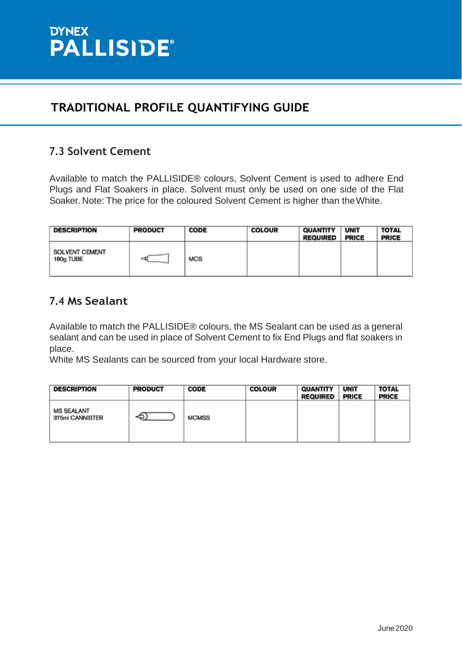

#### **7.3 Solvent Cement**

Available to match the PALLISIDE® colours, Solvent Cement is used to adhere End Plugs and Flat Soakers in place. Solvent must only be used on one side of the Flat Soaker. Note: The price for the coloured Solvent Cement is higher than theWhite.

| <b>DESCRIPTION</b>          | <b>PRODUCT</b> | <b>CODE</b> | <b>COLOUR</b> | <b>QUANTITY</b><br><b>REQUIRED</b> | <b>UNIT</b><br><b>PRICE</b> | <b>TOTAL</b><br><b>PRICE</b> |
|-----------------------------|----------------|-------------|---------------|------------------------------------|-----------------------------|------------------------------|
| SOLVENT CEMENT<br>180g TUBE |                | <b>MCS</b>  |               |                                    |                             |                              |

## **7.4 Ms Sealant**

Available to match the PALLISIDE® colours, the MS Sealant can be used as a general sealant and can be used in place of Solvent Cement to fix End Plugs and flat soakers in place.

White MS Sealants can be sourced from your local Hardware store.

| <b>DESCRIPTION</b>                   | <b>PRODUCT</b> | <b>CODE</b>  | <b>COLOUR</b> | <b>QUANTITY</b><br>REQUIRED | <b>UNIT</b><br><b>PRICE</b> | <b>TOTAL</b><br><b>PRICE</b> |
|--------------------------------------|----------------|--------------|---------------|-----------------------------|-----------------------------|------------------------------|
| <b>MS SEALANT</b><br>375ml CANNISTER |                | <b>MCMSS</b> |               |                             |                             |                              |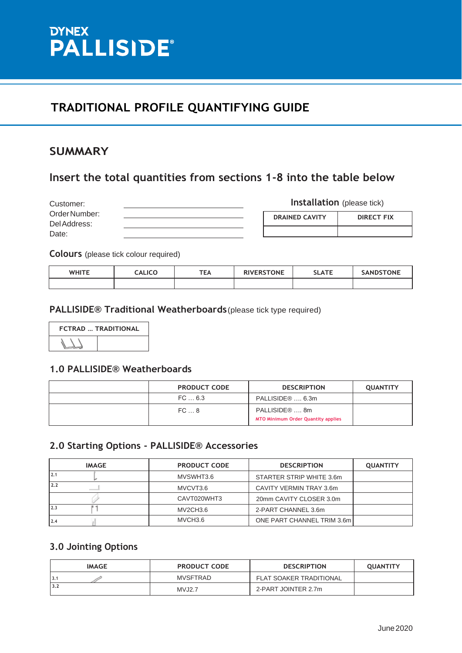

#### **SUMMARY**

## **Insert the total quantities from sections 1-8 into the table below**

| Customer:     |  |
|---------------|--|
| Order Number: |  |
| Del Address:  |  |
| Date:         |  |

**Installation** (please tick)

| <b>DRAINED CAVITY</b> | <b>DIRECT FIX</b> |
|-----------------------|-------------------|
|                       |                   |

**Colours** (please tick colour required)

| <b>WHITE</b> | <b>CALICO</b> | <b>TEA</b> | <b>RIVERSTONE</b> | <b>SLATE</b> | <b>SANDSTONE</b> |
|--------------|---------------|------------|-------------------|--------------|------------------|
|              |               |            |                   |              |                  |

#### **PALLISIDE® Traditional Weatherboards**(please tick type required)



#### **1.0 PALLISIDE® Weatherboards**

| <b>PRODUCT CODE</b> | <b>DESCRIPTION</b>                                                     | <b>QUANTITY</b> |
|---------------------|------------------------------------------------------------------------|-----------------|
| FC 6.3              | PALLISIDE® , 6.3m                                                      |                 |
| FC8                 | PALLISIDE <sup>®</sup> 8m<br><b>MTO Minimum Order Quantity applies</b> |                 |

#### **2.0 Starting Options - PALLISIDE® Accessories**

| <b>IMAGE</b> | <b>PRODUCT CODE</b> | <b>DESCRIPTION</b>         | <b>QUANTITY</b> |
|--------------|---------------------|----------------------------|-----------------|
| 2.1          | MVSWHT3.6           | STARTER STRIP WHITE 3.6m   |                 |
| 2.2          | MVCVT3.6            | CAVITY VERMIN TRAY 3.6m    |                 |
|              | CAVT020WHT3         | 20mm CAVITY CLOSER 3.0m    |                 |
| 2.3          | MV2CH3.6            | 2-PART CHANNEL 3.6m        |                 |
| 2.4          | MVCH3.6             | ONE PART CHANNEL TRIM 3.6m |                 |

#### **3.0 Jointing Options**

| <b>IMAGE</b> | <b>PRODUCT CODE</b> | <b>DESCRIPTION</b>             | <b>OUANTITY</b> |
|--------------|---------------------|--------------------------------|-----------------|
| 3.1          | <b>MVSFTRAD</b>     | <b>FLAT SOAKER TRADITIONAL</b> |                 |
| 3.2          | <b>MVJ2.7</b>       | 2-PART JOINTER 2.7m            |                 |